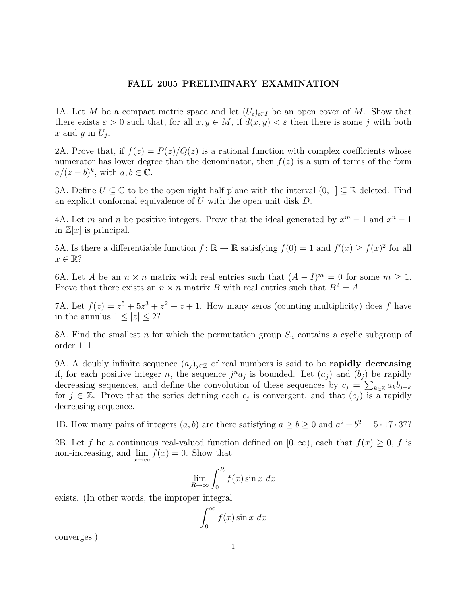## FALL 2005 PRELIMINARY EXAMINATION

1A. Let M be a compact metric space and let  $(U_i)_{i\in I}$  be an open cover of M. Show that there exists  $\varepsilon > 0$  such that, for all  $x, y \in M$ , if  $d(x, y) < \varepsilon$  then there is some j with both x and y in  $U_j$ .

2A. Prove that, if  $f(z) = P(z)/Q(z)$  is a rational function with complex coefficients whose numerator has lower degree than the denominator, then  $f(z)$  is a sum of terms of the form  $a/(z-b)^k$ , with  $a, b \in \overline{\mathbb{C}}$ .

3A. Define  $U \subseteq \mathbb{C}$  to be the open right half plane with the interval  $(0, 1] \subseteq \mathbb{R}$  deleted. Find an explicit conformal equivalence of  $U$  with the open unit disk  $D$ .

4A. Let m and n be positive integers. Prove that the ideal generated by  $x^m - 1$  and  $x^n - 1$ in  $\mathbb{Z}[x]$  is principal.

5A. Is there a differentiable function  $f: \mathbb{R} \to \mathbb{R}$  satisfying  $f(0) = 1$  and  $f'(x) \ge f(x)^2$  for all  $x \in \mathbb{R}$ ?

6A. Let A be an  $n \times n$  matrix with real entries such that  $(A - I)^m = 0$  for some  $m \ge 1$ . Prove that there exists an  $n \times n$  matrix B with real entries such that  $B^2 = A$ .

7A. Let  $f(z) = z^5 + 5z^3 + z^2 + z + 1$ . How many zeros (counting multiplicity) does f have in the annulus  $1 \leq |z| \leq 2$ ?

8A. Find the smallest n for which the permutation group  $S_n$  contains a cyclic subgroup of order 111.

9A. A doubly infinite sequence  $(a_j)_{j\in\mathbb{Z}}$  of real numbers is said to be **rapidly decreasing** if, for each positive integer n, the sequence  $j^na_j$  is bounded. Let  $(a_j)$  and  $(b_j)$  be rapidly decreasing sequences, and define the convolution of these sequences by  $c_j = \sum_{k \in \mathbb{Z}} a_k b_{j-k}$ for  $j \in \mathbb{Z}$ . Prove that the series defining each  $c_j$  is convergent, and that  $(c_j)$  is a rapidly decreasing sequence.

1B. How many pairs of integers  $(a, b)$  are there satisfying  $a \ge b \ge 0$  and  $a^2 + b^2 = 5 \cdot 17 \cdot 37$ ?

2B. Let f be a continuous real-valued function defined on  $[0, \infty)$ , each that  $f(x) \geq 0$ , f is non-increasing, and  $\lim_{x\to\infty} f(x) = 0$ . Show that

$$
\lim_{R \to \infty} \int_0^R f(x) \sin x \, dx
$$

exists. (In other words, the improper integral

$$
\int_0^\infty f(x) \sin x \ dx
$$

converges.)